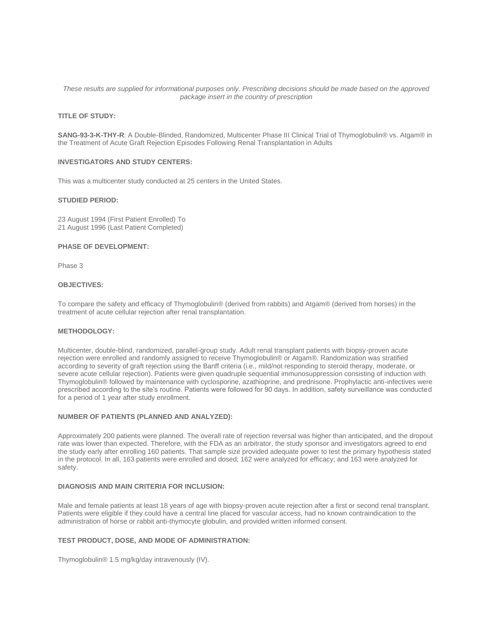## *These results are supplied for informational purposes only. Prescribing decisions should be made based on the approved package insert in the country of prescription*

# **TITLE OF STUDY:**

**SANG-93-3-K-THY-R**: A Double-Blinded, Randomized, Multicenter Phase III Clinical Trial of Thymoglobulin® vs. Atgam® in the Treatment of Acute Graft Rejection Episodes Following Renal Transplantation in Adults

## **INVESTIGATORS AND STUDY CENTERS:**

This was a multicenter study conducted at 25 centers in the United States.

### **STUDIED PERIOD:**

23 August 1994 (First Patient Enrolled) To 21 August 1996 (Last Patient Completed)

## **PHASE OF DEVELOPMENT:**

Phase 3

## **OBJECTIVES:**

To compare the safety and efficacy of Thymoglobulin® (derived from rabbits) and Atgam® (derived from horses) in the treatment of acute cellular rejection after renal transplantation.

## **METHODOLOGY:**

Multicenter, double-blind, randomized, parallel-group study. Adult renal transplant patients with biopsy-proven acute rejection were enrolled and randomly assigned to receive Thymoglobulin® or Atgam®. Randomization was stratified according to severity of graft rejection using the Banff criteria (i.e., mild/not responding to steroid therapy, moderate, or severe acute cellular rejection). Patients were given quadruple sequential immunosuppression consisting of induction with Thymoglobulin® followed by maintenance with cyclosporine, azathioprine, and prednisone. Prophylactic anti-infectives were prescribed according to the site's routine. Patients were followed for 90 days. In addition, safety surveillance was conducted for a period of 1 year after study enrollment.

## **NUMBER OF PATIENTS (PLANNED AND ANALYZED):**

Approximately 200 patients were planned. The overall rate of rejection reversal was higher than anticipated, and the dropout rate was lower than expected. Therefore, with the FDA as an arbitrator, the study sponsor and investigators agreed to end the study early after enrolling 160 patients. That sample size provided adequate power to test the primary hypothesis stated in the protocol. In all, 163 patients were enrolled and dosed; 162 were analyzed for efficacy; and 163 were analyzed for safety.

### **DIAGNOSIS AND MAIN CRITERIA FOR INCLUSION:**

Male and female patients at least 18 years of age with biopsy-proven acute rejection after a first or second renal transplant. Patients were eligible if they could have a central line placed for vascular access, had no known contraindication to the administration of horse or rabbit anti-thymocyte globulin, and provided written informed consent.

## **TEST PRODUCT, DOSE, AND MODE OF ADMINISTRATION:**

Thymoglobulin® 1.5 mg/kg/day intravenously (IV).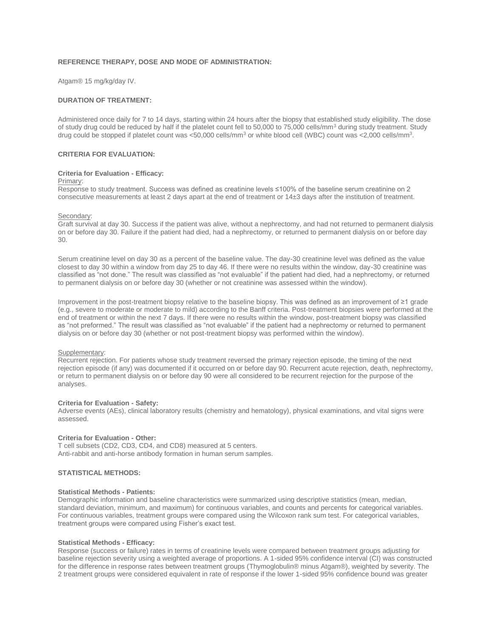## **REFERENCE THERAPY, DOSE AND MODE OF ADMINISTRATION:**

Atgam® 15 mg/kg/day IV.

# **DURATION OF TREATMENT:**

Administered once daily for 7 to 14 days, starting within 24 hours after the biopsy that established study eligibility. The dose of study drug could be reduced by half if the platelet count fell to 50,000 to 75,000 cells/mm<sup>3</sup> during study treatment. Study drug could be stopped if platelet count was <50,000 cells/mm<sup>3</sup> or white blood cell (WBC) count was <2,000 cells/mm<sup>3</sup>.

## **CRITERIA FOR EVALUATION:**

### **Criteria for Evaluation - Efficacy:**

## Primary:

Response to study treatment. Success was defined as creatinine levels ≤100% of the baseline serum creatinine on 2 consecutive measurements at least 2 days apart at the end of treatment or 14±3 days after the institution of treatment.

#### Secondary:

Graft survival at day 30. Success if the patient was alive, without a nephrectomy, and had not returned to permanent dialysis on or before day 30. Failure if the patient had died, had a nephrectomy, or returned to permanent dialysis on or before day 30.

Serum creatinine level on day 30 as a percent of the baseline value. The day-30 creatinine level was defined as the value closest to day 30 within a window from day 25 to day 46. If there were no results within the window, day-30 creatinine was classified as "not done." The result was classified as "not evaluable" if the patient had died, had a nephrectomy, or returned to permanent dialysis on or before day 30 (whether or not creatinine was assessed within the window).

Improvement in the post-treatment biopsy relative to the baseline biopsy. This was defined as an improvement of ≥1 grade (e.g., severe to moderate or moderate to mild) according to the Banff criteria. Post-treatment biopsies were performed at the end of treatment or within the next 7 days. If there were no results within the window, post-treatment biopsy was classified as "not preformed." The result was classified as "not evaluable" if the patient had a nephrectomy or returned to permanent dialysis on or before day 30 (whether or not post-treatment biopsy was performed within the window).

### Supplementary:

Recurrent rejection. For patients whose study treatment reversed the primary rejection episode, the timing of the next rejection episode (if any) was documented if it occurred on or before day 90. Recurrent acute rejection, death, nephrectomy, or return to permanent dialysis on or before day 90 were all considered to be recurrent rejection for the purpose of the analyses.

### **Criteria for Evaluation - Safety:**

Adverse events (AEs), clinical laboratory results (chemistry and hematology), physical examinations, and vital signs were assessed.

# **Criteria for Evaluation - Other:**

T cell subsets (CD2, CD3, CD4, and CD8) measured at 5 centers. Anti-rabbit and anti-horse antibody formation in human serum samples.

## **STATISTICAL METHODS:**

### **Statistical Methods - Patients:**

Demographic information and baseline characteristics were summarized using descriptive statistics (mean, median, standard deviation, minimum, and maximum) for continuous variables, and counts and percents for categorical variables. For continuous variables, treatment groups were compared using the Wilcoxon rank sum test. For categorical variables, treatment groups were compared using Fisher's exact test.

## **Statistical Methods - Efficacy:**

Response (success or failure) rates in terms of creatinine levels were compared between treatment groups adjusting for baseline rejection severity using a weighted average of proportions. A 1-sided 95% confidence interval (CI) was constructed for the difference in response rates between treatment groups (Thymoglobulin® minus Atgam®), weighted by severity. The 2 treatment groups were considered equivalent in rate of response if the lower 1-sided 95% confidence bound was greater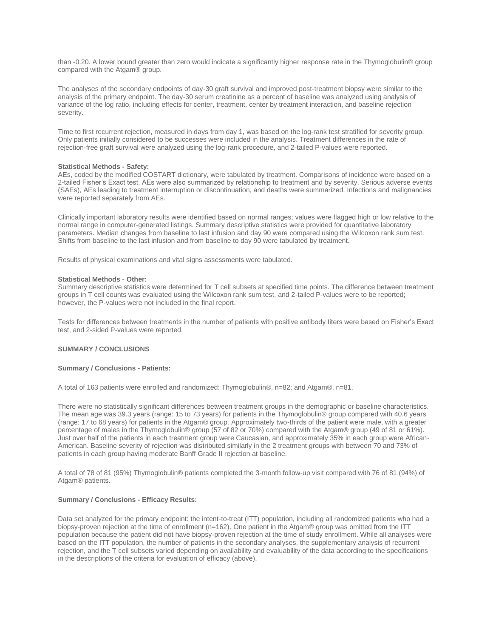than -0.20. A lower bound greater than zero would indicate a significantly higher response rate in the Thymoglobulin® group compared with the Atgam® group.

The analyses of the secondary endpoints of day-30 graft survival and improved post-treatment biopsy were similar to the analysis of the primary endpoint. The day-30 serum creatinine as a percent of baseline was analyzed using analysis of variance of the log ratio, including effects for center, treatment, center by treatment interaction, and baseline rejection severity.

Time to first recurrent rejection, measured in days from day 1, was based on the log-rank test stratified for severity group. Only patients initially considered to be successes were included in the analysis. Treatment differences in the rate of rejection-free graft survival were analyzed using the log-rank procedure, and 2-tailed P-values were reported.

### **Statistical Methods - Safety:**

AEs, coded by the modified COSTART dictionary, were tabulated by treatment. Comparisons of incidence were based on a 2-tailed Fisher's Exact test. AEs were also summarized by relationship to treatment and by severity. Serious adverse events (SAEs), AEs leading to treatment interruption or discontinuation, and deaths were summarized. Infections and malignancies were reported separately from AEs.

Clinically important laboratory results were identified based on normal ranges; values were flagged high or low relative to the normal range in computer-generated listings. Summary descriptive statistics were provided for quantitative laboratory parameters. Median changes from baseline to last infusion and day 90 were compared using the Wilcoxon rank sum test. Shifts from baseline to the last infusion and from baseline to day 90 were tabulated by treatment.

Results of physical examinations and vital signs assessments were tabulated.

## **Statistical Methods - Other:**

Summary descriptive statistics were determined for T cell subsets at specified time points. The difference between treatment groups in T cell counts was evaluated using the Wilcoxon rank sum test, and 2-tailed P-values were to be reported; however, the P-values were not included in the final report.

Tests for differences between treatments in the number of patients with positive antibody titers were based on Fisher's Exact test, and 2-sided P-values were reported.

## **SUMMARY / CONCLUSIONS**

## **Summary / Conclusions - Patients:**

A total of 163 patients were enrolled and randomized: Thymoglobulin®, n=82; and Atgam®, n=81.

There were no statistically significant differences between treatment groups in the demographic or baseline characteristics. The mean age was 39.3 years (range: 15 to 73 years) for patients in the Thymoglobulin® group compared with 40.6 years (range: 17 to 68 years) for patients in the Atgam® group. Approximately two-thirds of the patient were male, with a greater percentage of males in the Thymoglobulin® group (57 of 82 or 70%) compared with the Atgam® group (49 of 81 or 61%). Just over half of the patients in each treatment group were Caucasian, and approximately 35% in each group were African-American. Baseline severity of rejection was distributed similarly in the 2 treatment groups with between 70 and 73% of patients in each group having moderate Banff Grade II rejection at baseline.

A total of 78 of 81 (95%) Thymoglobulin® patients completed the 3-month follow-up visit compared with 76 of 81 (94%) of Atgam® patients.

### **Summary / Conclusions - Efficacy Results:**

Data set analyzed for the primary endpoint: the intent-to-treat (ITT) population, including all randomized patients who had a biopsy-proven rejection at the time of enrollment (n=162). One patient in the Atgam® group was omitted from the ITT population because the patient did not have biopsy-proven rejection at the time of study enrollment. While all analyses were based on the ITT population, the number of patients in the secondary analyses, the supplementary analysis of recurrent rejection, and the T cell subsets varied depending on availability and evaluability of the data according to the specifications in the descriptions of the criteria for evaluation of efficacy (above).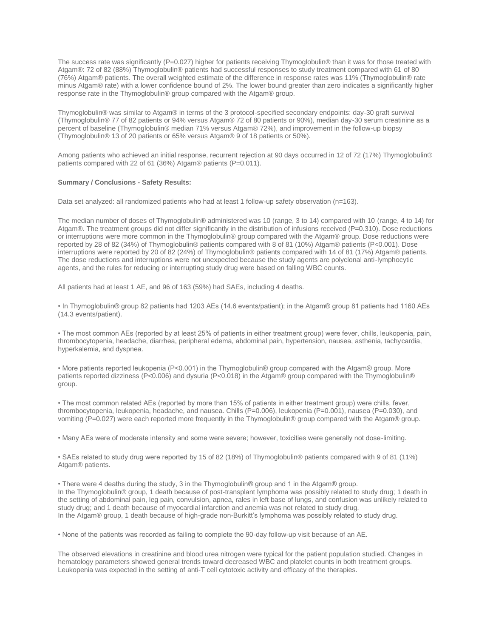The success rate was significantly (P=0.027) higher for patients receiving Thymoglobulin® than it was for those treated with Atgam®: 72 of 82 (88%) Thymoglobulin® patients had successful responses to study treatment compared with 61 of 80 (76%) Atgam® patients. The overall weighted estimate of the difference in response rates was 11% (Thymoglobulin® rate minus Atgam® rate) with a lower confidence bound of 2%. The lower bound greater than zero indicates a significantly higher response rate in the Thymoglobulin® group compared with the Atgam® group.

Thymoglobulin® was similar to Atgam® in terms of the 3 protocol-specified secondary endpoints: day-30 graft survival (Thymoglobulin® 77 of 82 patients or 94% versus Atgam® 72 of 80 patients or 90%), median day-30 serum creatinine as a percent of baseline (Thymoglobulin® median 71% versus Atgam® 72%), and improvement in the follow-up biopsy (Thymoglobulin® 13 of 20 patients or 65% versus Atgam® 9 of 18 patients or 50%).

Among patients who achieved an initial response, recurrent rejection at 90 days occurred in 12 of 72 (17%) Thymoglobulin® patients compared with 22 of 61 (36%) Atgam® patients (P=0.011).

## **Summary / Conclusions - Safety Results:**

Data set analyzed: all randomized patients who had at least 1 follow-up safety observation (n=163).

The median number of doses of Thymoglobulin® administered was 10 (range, 3 to 14) compared with 10 (range, 4 to 14) for Atgam®. The treatment groups did not differ significantly in the distribution of infusions received (P=0.310). Dose reductions or interruptions were more common in the Thymoglobulin® group compared with the Atgam® group. Dose reductions were reported by 28 of 82 (34%) of Thymoglobulin® patients compared with 8 of 81 (10%) Atgam® patients (P<0.001). Dose interruptions were reported by 20 of 82 (24%) of Thymoglobulin® patients compared with 14 of 81 (17%) Atgam® patients. The dose reductions and interruptions were not unexpected because the study agents are polyclonal anti-lymphocytic agents, and the rules for reducing or interrupting study drug were based on falling WBC counts.

All patients had at least 1 AE, and 96 of 163 (59%) had SAEs, including 4 deaths.

• In Thymoglobulin® group 82 patients had 1203 AEs (14.6 events/patient); in the Atgam® group 81 patients had 1160 AEs (14.3 events/patient).

• The most common AEs (reported by at least 25% of patients in either treatment group) were fever, chills, leukopenia, pain, thrombocytopenia, headache, diarrhea, peripheral edema, abdominal pain, hypertension, nausea, asthenia, tachycardia, hyperkalemia, and dyspnea.

• More patients reported leukopenia (P<0.001) in the Thymoglobulin® group compared with the Atgam® group. More patients reported dizziness (P<0.006) and dysuria (P<0.018) in the Atgam® group compared with the Thymoglobulin® group.

• The most common related AEs (reported by more than 15% of patients in either treatment group) were chills, fever, thrombocytopenia, leukopenia, headache, and nausea. Chills (P=0.006), leukopenia (P=0.001), nausea (P=0.030), and vomiting (P=0.027) were each reported more frequently in the Thymoglobulin® group compared with the Atgam® group.

• Many AEs were of moderate intensity and some were severe; however, toxicities were generally not dose-limiting.

• SAEs related to study drug were reported by 15 of 82 (18%) of Thymoglobulin® patients compared with 9 of 81 (11%) Atgam® patients.

• There were 4 deaths during the study, 3 in the Thymoglobulin® group and 1 in the Atgam® group. In the Thymoglobulin® group, 1 death because of post-transplant lymphoma was possibly related to study drug; 1 death in the setting of abdominal pain, leg pain, convulsion, apnea, rales in left base of lungs, and confusion was unlikely related to study drug; and 1 death because of myocardial infarction and anemia was not related to study drug. In the Atgam® group, 1 death because of high-grade non-Burkitt's lymphoma was possibly related to study drug.

• None of the patients was recorded as failing to complete the 90-day follow-up visit because of an AE.

The observed elevations in creatinine and blood urea nitrogen were typical for the patient population studied. Changes in hematology parameters showed general trends toward decreased WBC and platelet counts in both treatment groups. Leukopenia was expected in the setting of anti-T cell cytotoxic activity and efficacy of the therapies.